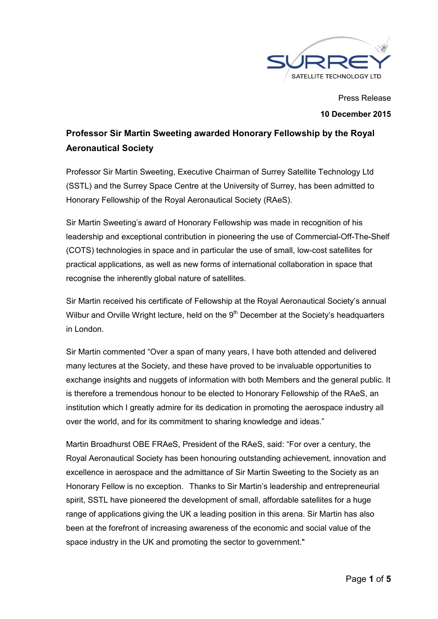

Press Release **10 December 2015**

# **Professor Sir Martin Sweeting awarded Honorary Fellowship by the Royal Aeronautical Society**

Professor Sir Martin Sweeting, Executive Chairman of Surrey Satellite Technology Ltd (SSTL) and the Surrey Space Centre at the University of Surrey, has been admitted to Honorary Fellowship of the Royal Aeronautical Society (RAeS).

Sir Martin Sweeting's award of Honorary Fellowship was made in recognition of his leadership and exceptional contribution in pioneering the use of Commercial-Off-The-Shelf (COTS) technologies in space and in particular the use of small, low-cost satellites for practical applications, as well as new forms of international collaboration in space that recognise the inherently global nature of satellites.

Sir Martin received his certificate of Fellowship at the Royal Aeronautical Society's annual Wilbur and Orville Wright lecture, held on the 9<sup>th</sup> December at the Society's headquarters in London.

Sir Martin commented "Over a span of many years, I have both attended and delivered many lectures at the Society, and these have proved to be invaluable opportunities to exchange insights and nuggets of information with both Members and the general public. It is therefore a tremendous honour to be elected to Honorary Fellowship of the RAeS, an institution which I greatly admire for its dedication in promoting the aerospace industry all over the world, and for its commitment to sharing knowledge and ideas."

Martin Broadhurst OBE FRAeS, President of the RAeS, said: "For over a century, the Royal Aeronautical Society has been honouring outstanding achievement, innovation and excellence in aerospace and the admittance of Sir Martin Sweeting to the Society as an Honorary Fellow is no exception. Thanks to Sir Martin's leadership and entrepreneurial spirit, SSTL have pioneered the development of small, affordable satellites for a huge range of applications giving the UK a leading position in this arena. Sir Martin has also been at the forefront of increasing awareness of the economic and social value of the space industry in the UK and promoting the sector to government."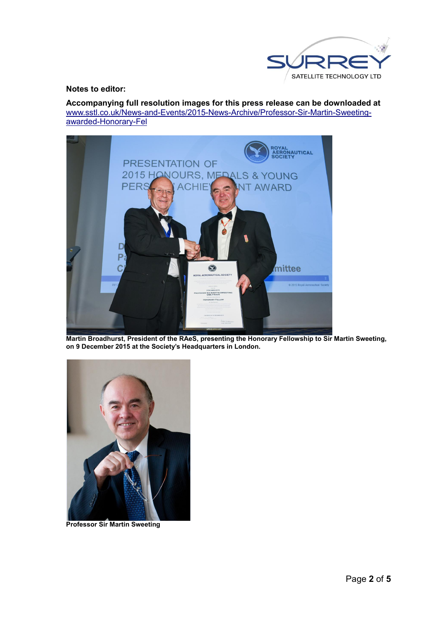

### **Notes to editor:**

**Accompanying full resolution images for this press release can be downloaded at**  www.sstl.co.uk/News-and-Events/2015-News-Archive/Professor-Sir-Martin-Sweetingawarded-Honorary-Fel



**Martin Broadhurst, President of the RAeS, presenting the Honorary Fellowship to Sir Martin Sweeting, on 9 December 2015 at the Society's Headquarters in London.**



**Professor Sir Martin Sweeting**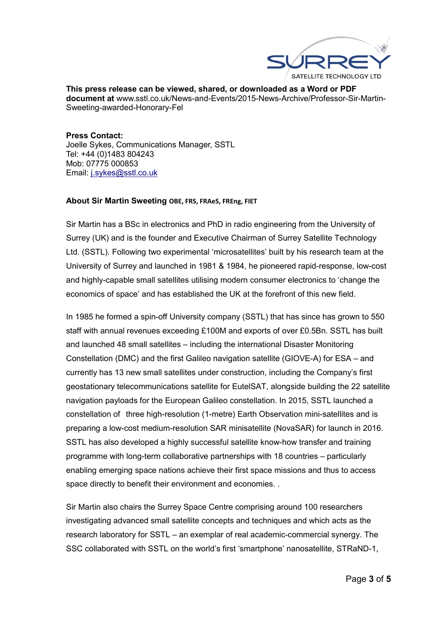

**This press release can be viewed, shared, or downloaded as a Word or PDF document at** www.sstl.co.uk/News-and-Events/2015-News-Archive/Professor-Sir-Martin-Sweeting-awarded-Honorary-Fel

**Press Contact:** Joelle Sykes, Communications Manager, SSTL Tel: +44 (0)1483 804243 Mob: 07775 000853 Email: j.sykes@sstl.co.uk

#### **About Sir Martin Sweeting OBE, FRS, FRAeS, FREng, FIET**

Sir Martin has a BSc in electronics and PhD in radio engineering from the University of Surrey (UK) and is the founder and Executive Chairman of Surrey Satellite Technology Ltd. (SSTL). Following two experimental 'microsatellites' built by his research team at the University of Surrey and launched in 1981 & 1984, he pioneered rapid-response, low-cost and highly-capable small satellites utilising modern consumer electronics to 'change the economics of space' and has established the UK at the forefront of this new field.

In 1985 he formed a spin-off University company (SSTL) that has since has grown to 550 staff with annual revenues exceeding £100M and exports of over £0.5Bn. SSTL has built and launched 48 small satellites – including the international Disaster Monitoring Constellation (DMC) and the first Galileo navigation satellite (GIOVE-A) for ESA – and currently has 13 new small satellites under construction, including the Company's first geostationary telecommunications satellite for EutelSAT, alongside building the 22 satellite navigation payloads for the European Galileo constellation. In 2015, SSTL launched a constellation of three high-resolution (1-metre) Earth Observation mini-satellites and is preparing a low-cost medium-resolution SAR minisatellite (NovaSAR) for launch in 2016. SSTL has also developed a highly successful satellite know-how transfer and training programme with long-term collaborative partnerships with 18 countries – particularly enabling emerging space nations achieve their first space missions and thus to access space directly to benefit their environment and economies. .

Sir Martin also chairs the Surrey Space Centre comprising around 100 researchers investigating advanced small satellite concepts and techniques and which acts as the research laboratory for SSTL – an exemplar of real academic-commercial synergy. The SSC collaborated with SSTL on the world's first 'smartphone' nanosatellite, STRaND-1,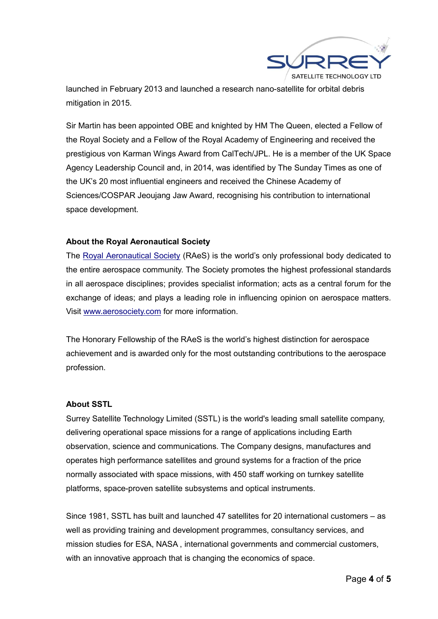

launched in February 2013 and launched a research nano-satellite for orbital debris mitigation in 2015.

Sir Martin has been appointed OBE and knighted by HM The Queen, elected a Fellow of the Royal Society and a Fellow of the Royal Academy of Engineering and received the prestigious von Karman Wings Award from CalTech/JPL. He is a member of the UK Space Agency Leadership Council and, in 2014, was identified by The Sunday Times as one of the UK's 20 most influential engineers and received the Chinese Academy of Sciences/COSPAR Jeoujang Jaw Award, recognising his contribution to international space development.

## **About the Royal Aeronautical Society**

The Royal Aeronautical Society (RAeS) is the world's only professional body dedicated to the entire aerospace community. The Society promotes the highest professional standards in all aerospace disciplines; provides specialist information; acts as a central forum for the exchange of ideas; and plays a leading role in influencing opinion on aerospace matters. Visit www.aerosociety.com for more information.

The Honorary Fellowship of the RAeS is the world's highest distinction for aerospace achievement and is awarded only for the most outstanding contributions to the aerospace profession.

#### **About SSTL**

Surrey Satellite Technology Limited (SSTL) is the world's leading small satellite company, delivering operational space missions for a range of applications including Earth observation, science and communications. The Company designs, manufactures and operates high performance satellites and ground systems for a fraction of the price normally associated with space missions, with 450 staff working on turnkey satellite platforms, space-proven satellite subsystems and optical instruments.

Since 1981, SSTL has built and launched 47 satellites for 20 international customers – as well as providing training and development programmes, consultancy services, and mission studies for ESA, NASA , international governments and commercial customers, with an innovative approach that is changing the economics of space.